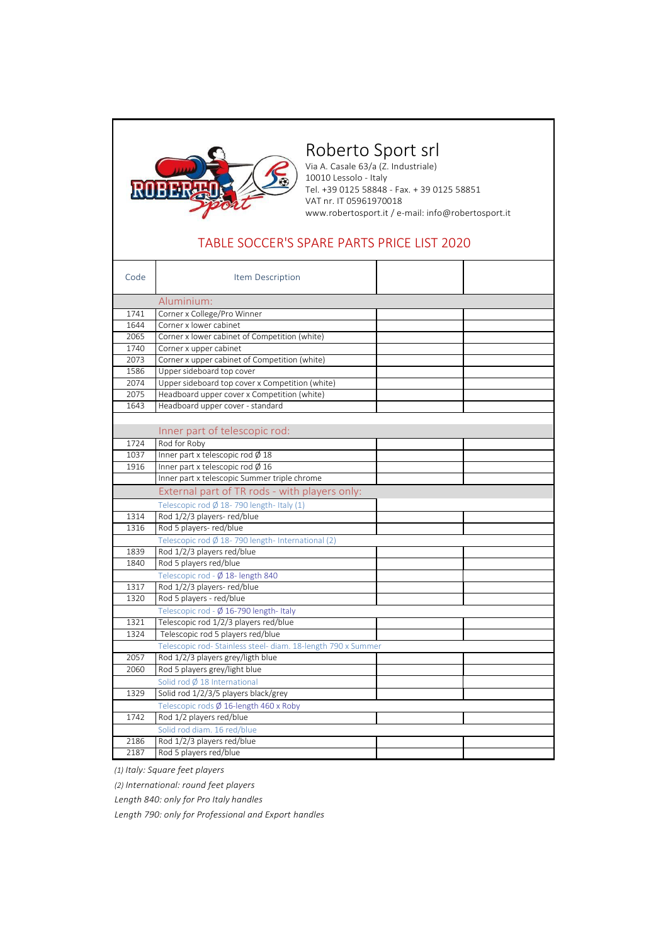

## Roberto Sport srl

Via A. Casale 63/a (Z. Industriale) 10010 Lessolo - Italy Tel. +39 0125 58848 - Fax. + 39 0125 58851 VAT nr. IT 05961970018 [www.robertosport.it](http://www.robertosport.it/) / e-mail[: info@robertosport.it](mailto:info@robertosport.it)

## TABLE SOCCER'S SPARE PARTS PRICE LIST 2020

| Code                                              | Item Description                                              |  |  |
|---------------------------------------------------|---------------------------------------------------------------|--|--|
|                                                   | Aluminium:                                                    |  |  |
| 1741                                              | Corner x College/Pro Winner                                   |  |  |
| 1644                                              | Corner x lower cabinet                                        |  |  |
| 2065                                              | Corner x lower cabinet of Competition (white)                 |  |  |
| 1740                                              | Corner x upper cabinet                                        |  |  |
| 2073                                              | Corner x upper cabinet of Competition (white)                 |  |  |
| 1586                                              | Upper sideboard top cover                                     |  |  |
| 2074                                              | Upper sideboard top cover x Competition (white)               |  |  |
| 2075                                              | Headboard upper cover x Competition (white)                   |  |  |
| 1643                                              | Headboard upper cover - standard                              |  |  |
|                                                   |                                                               |  |  |
|                                                   | Inner part of telescopic rod:                                 |  |  |
| 1724                                              | Rod for Roby                                                  |  |  |
| 1037                                              | Inner part x telescopic rod Ø 18                              |  |  |
| 1916                                              | Inner part x telescopic rod $\emptyset$ 16                    |  |  |
|                                                   | Inner part x telescopic Summer triple chrome                  |  |  |
|                                                   | External part of TR rods - with players only:                 |  |  |
|                                                   | Telescopic rod $\emptyset$ 18-790 length-Italy (1)            |  |  |
| 1314                                              | Rod 1/2/3 players-red/blue                                    |  |  |
| 1316                                              | Rod 5 players-red/blue                                        |  |  |
| Telescopic rod Ø 18-790 length- International (2) |                                                               |  |  |
| 1839                                              | Rod 1/2/3 players red/blue                                    |  |  |
| 1840                                              | Rod 5 players red/blue                                        |  |  |
|                                                   | Telescopic rod - Ø 18- length 840                             |  |  |
| 1317                                              | Rod 1/2/3 players-red/blue                                    |  |  |
| 1320                                              | Rod 5 players - red/blue                                      |  |  |
|                                                   | Telescopic rod - Ø 16-790 length- Italy                       |  |  |
| 1321                                              | Telescopic rod 1/2/3 players red/blue                         |  |  |
| 1324                                              | Telescopic rod 5 players red/blue                             |  |  |
|                                                   | Telescopic rod- Stainless steel- diam. 18-length 790 x Summer |  |  |
| 2057                                              | Rod 1/2/3 players grey/ligth blue                             |  |  |
| 2060                                              | Rod 5 players grey/light blue                                 |  |  |
|                                                   | Solid rod Ø 18 International                                  |  |  |
| 1329                                              | Solid rod 1/2/3/5 players black/grey                          |  |  |
|                                                   | Telescopic rods Ø 16-length 460 x Roby                        |  |  |
| 1742                                              | Rod 1/2 players red/blue                                      |  |  |
|                                                   | Solid rod diam. 16 red/blue                                   |  |  |
| 2186                                              | Rod 1/2/3 players red/blue                                    |  |  |
| 2187                                              | Rod 5 players red/blue                                        |  |  |

*(1) Italy: Square feet players*

*(2) International: round feet players* 

*Length 840: only for Pro Italy handles* 

*Length 790: only for Professional and Export handles*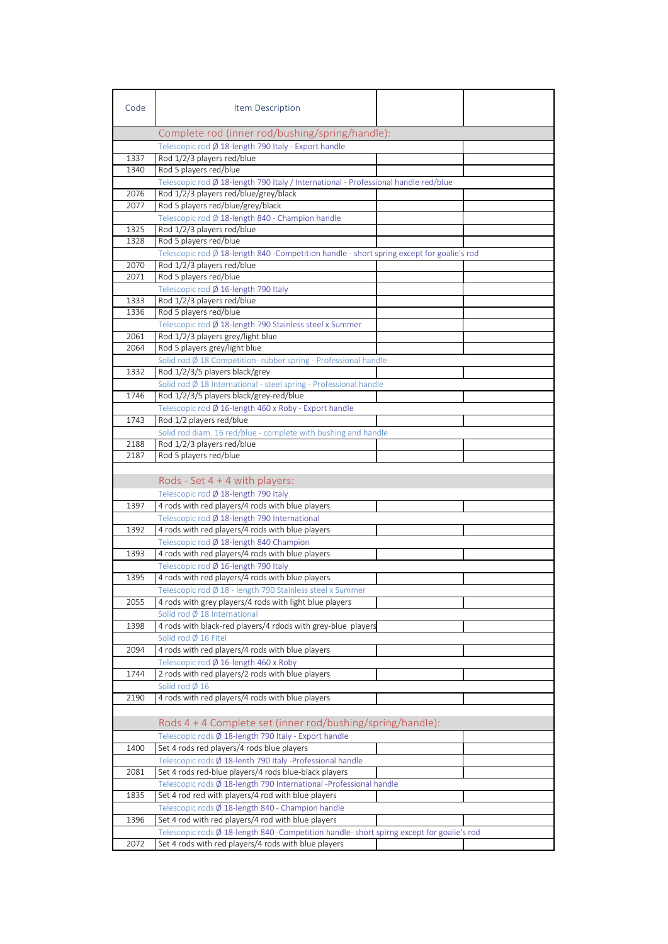| Code | Item Description                                                                                    |  |
|------|-----------------------------------------------------------------------------------------------------|--|
|      | Complete rod (inner rod/bushing/spring/handle):                                                     |  |
|      | Telescopic rod Ø 18-length 790 Italy - Export handle                                                |  |
| 1337 | Rod 1/2/3 players red/blue                                                                          |  |
| 1340 | Rod 5 players red/blue                                                                              |  |
|      | Telescopic rod Ø 18-length 790 Italy / International - Professional handle red/blue                 |  |
| 2076 | Rod 1/2/3 players red/blue/grey/black                                                               |  |
| 2077 | Rod 5 players red/blue/grey/black                                                                   |  |
|      | Telescopic rod Ø 18-length 840 - Champion handle                                                    |  |
| 1325 | Rod 1/2/3 players red/blue                                                                          |  |
| 1328 | Rod 5 players red/blue                                                                              |  |
|      | Telescopic rod $\emptyset$ 18-length 840 -Competition handle - short spring except for goalie's rod |  |
| 2070 | Rod 1/2/3 players red/blue                                                                          |  |
| 2071 | Rod 5 players red/blue                                                                              |  |
|      | Telescopic rod Ø 16-length 790 Italy                                                                |  |
| 1333 | Rod 1/2/3 players red/blue                                                                          |  |
| 1336 | Rod 5 players red/blue                                                                              |  |
|      | Telescopic rod Ø 18-length 790 Stainless steel x Summer                                             |  |
| 2061 | Rod 1/2/3 players grey/light blue                                                                   |  |
| 2064 | Rod 5 players grey/light blue                                                                       |  |
|      | Solid rod Ø 18 Competition-rubber spring - Professional handle                                      |  |
| 1332 | Rod 1/2/3/5 players black/grey                                                                      |  |
|      | Solid rod $\emptyset$ 18 International - steel spring - Professional handle                         |  |
| 1746 | Rod 1/2/3/5 players black/grey-red/blue                                                             |  |
|      | Telescopic rod Ø 16-length 460 x Roby - Export handle                                               |  |
| 1743 | Rod 1/2 players red/blue                                                                            |  |
|      | Solid rod diam. 16 red/blue - complete with bushing and handle                                      |  |
| 2188 | Rod 1/2/3 players red/blue                                                                          |  |
| 2187 | Rod 5 players red/blue                                                                              |  |
|      |                                                                                                     |  |
|      | Rods - Set $4 + 4$ with players:                                                                    |  |
|      | Telescopic rod Ø 18-length 790 Italy                                                                |  |
| 1397 | 4 rods with red players/4 rods with blue players                                                    |  |
|      | Telescopic rod Ø 18-length 790 International                                                        |  |
| 1392 | 4 rods with red players/4 rods with blue players                                                    |  |
|      | Telescopic rod Ø 18-length 840 Champion                                                             |  |
| 1393 | 4 rods with red players/4 rods with blue players                                                    |  |
|      | Telescopic rod $\varnothing$ 16-length 790 Italy                                                    |  |
| 1395 | 4 rods with red players/4 rods with blue players                                                    |  |
|      | Telescopic rod Ø 18 - length 790 Stainless steel x Summer                                           |  |
| 2055 | 4 rods with grey players/4 rods with light blue players                                             |  |
|      | Solid rod Ø 18 International                                                                        |  |
| 1398 | 4 rods with black-red players/4 rdods with grey-blue players                                        |  |
|      | Solid rod $\emptyset$ 16 Fitel                                                                      |  |
| 2094 | 4 rods with red players/4 rods with blue players                                                    |  |
|      | Telescopic rod Ø 16-length 460 x Roby                                                               |  |
| 1744 | 2 rods with red players/2 rods with blue players                                                    |  |
|      | Solid rod $\emptyset$ 16                                                                            |  |
| 2190 | 4 rods with red players/4 rods with blue players                                                    |  |
|      |                                                                                                     |  |
|      | Rods 4 + 4 Complete set (inner rod/bushing/spring/handle):                                          |  |
|      | Telescopic rods Ø 18-length 790 Italy - Export handle                                               |  |
| 1400 | Set 4 rods red players/4 rods blue players                                                          |  |
|      | Telescopic rods Ø 18-lenth 790 Italy -Professional handle                                           |  |
| 2081 | Set 4 rods red-blue players/4 rods blue-black players                                               |  |
|      | Telescopic rods Ø 18-length 790 International -Professional handle                                  |  |
| 1835 | Set 4 rod red with players/4 rod with blue players                                                  |  |
|      | Telescopic rods Ø 18-length 840 - Champion handle                                                   |  |
| 1396 | Set 4 rod with red players/4 rod with blue players                                                  |  |
|      | Telescopic rods $\emptyset$ 18-length 840 -Competition handle-short spirng except for goalie's rod  |  |
| 2072 | Set 4 rods with red players/4 rods with blue players                                                |  |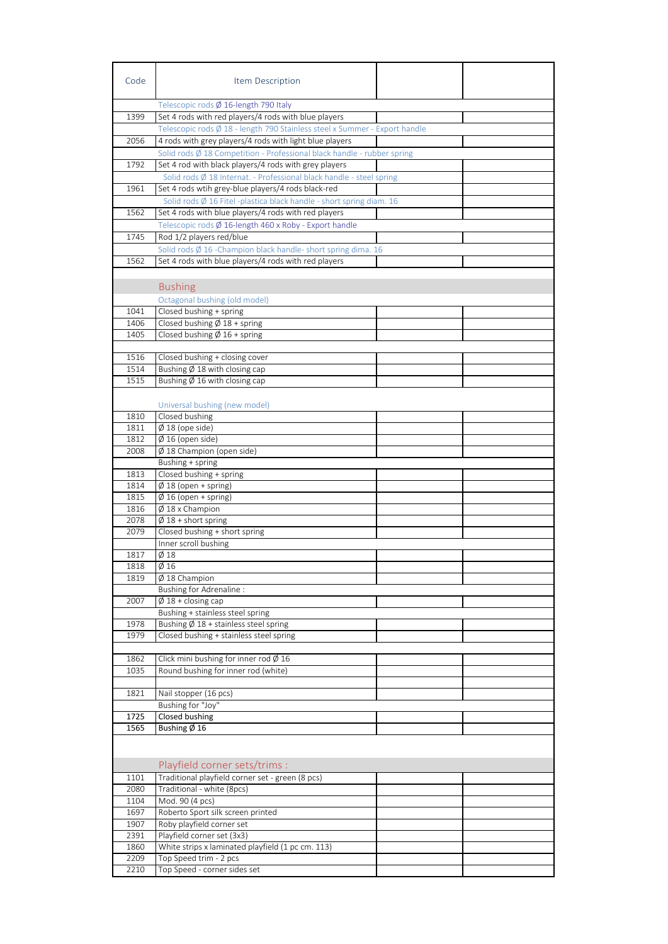| Code         | Item Description                                                                  |  |
|--------------|-----------------------------------------------------------------------------------|--|
|              | Telescopic rods Ø 16-length 790 Italy                                             |  |
| 1399         | Set 4 rods with red players/4 rods with blue players                              |  |
|              | Telescopic rods Ø 18 - length 790 Stainless steel x Summer - Export handle        |  |
| 2056         | 4 rods with grey players/4 rods with light blue players                           |  |
|              | Solid rods $\emptyset$ 18 Competition - Professional black handle - rubber spring |  |
| 1792         | Set 4 rod with black players/4 rods with grey players                             |  |
|              | Solid rods Ø 18 Internat. - Professional black handle - steel spring              |  |
| 1961         | Set 4 rods wtih grey-blue players/4 rods black-red                                |  |
|              | Solid rods $\emptyset$ 16 Fitel -plastica black handle - short spring diam. 16    |  |
| 1562         | Set 4 rods with blue players/4 rods with red players                              |  |
|              | Telescopic rods Ø 16-length 460 x Roby - Export handle                            |  |
| 1745         | Rod 1/2 players red/blue                                                          |  |
|              | Solid rods $\emptyset$ 16 -Champion black handle- short spring dima. 16           |  |
| 1562         | Set 4 rods with blue players/4 rods with red players                              |  |
|              |                                                                                   |  |
|              | <b>Bushing</b>                                                                    |  |
|              |                                                                                   |  |
|              | Octagonal bushing (old model)                                                     |  |
| 1041         | Closed bushing + spring                                                           |  |
| 1406         | Closed bushing $\varnothing$ 18 + spring                                          |  |
| 1405         | Closed bushing $\emptyset$ 16 + spring                                            |  |
|              |                                                                                   |  |
| 1516<br>1514 | Closed bushing + closing cover<br>Bushing $\emptyset$ 18 with closing cap         |  |
| 1515         | Bushing $\emptyset$ 16 with closing cap                                           |  |
|              |                                                                                   |  |
|              |                                                                                   |  |
| 1810         | Universal bushing (new model)                                                     |  |
| 1811         | Closed bushing                                                                    |  |
| 1812         | $\emptyset$ 18 (ope side)                                                         |  |
| 2008         | $\emptyset$ 16 (open side)<br>Ø 18 Champion (open side)                           |  |
|              |                                                                                   |  |
| 1813         | Bushing + spring<br>Closed bushing + spring                                       |  |
| 1814         | $\overline{\emptyset}$ 18 (open + spring)                                         |  |
| 1815         | $\emptyset$ 16 (open + spring)                                                    |  |
| 1816         | $\emptyset$ 18 x Champion                                                         |  |
| 2078         | $\overline{\emptyset}$ 18 + short spring                                          |  |
| 2079         | Closed bushing + short spring                                                     |  |
|              | Inner scroll bushing                                                              |  |
| 1817         | Ø 18                                                                              |  |
| 1818         | $\overline{\phi}$ 16                                                              |  |
| 1819         | $\emptyset$ 18 Champion                                                           |  |
|              | Bushing for Adrenaline :                                                          |  |
| 2007         | $\emptyset$ 18 + closing cap                                                      |  |
|              | Bushing + stainless steel spring                                                  |  |
| 1978         | Bushing $\emptyset$ 18 + stainless steel spring                                   |  |
| 1979         | Closed bushing + stainless steel spring                                           |  |
|              |                                                                                   |  |
| 1862         | Click mini bushing for inner rod $\emptyset$ 16                                   |  |
| 1035         | Round bushing for inner rod (white)                                               |  |
|              |                                                                                   |  |
| 1821         | Nail stopper (16 pcs)                                                             |  |
|              | Bushing for "Joy"                                                                 |  |
| 1725         | Closed bushing                                                                    |  |
| 1565         | Bushing Ø 16                                                                      |  |
|              |                                                                                   |  |
|              |                                                                                   |  |
|              | Playfield corner sets/trims :                                                     |  |
| 1101         | Traditional playfield corner set - green (8 pcs)                                  |  |
| 2080         | Traditional - white (8pcs)                                                        |  |
| 1104         | Mod. 90 (4 pcs)                                                                   |  |
| 1697         | Roberto Sport silk screen printed                                                 |  |
| 1907         | Roby playfield corner set                                                         |  |
| 2391         | Playfield corner set (3x3)                                                        |  |
| 1860         | White strips x laminated playfield (1 pc cm. 113)                                 |  |
| 2209         | Top Speed trim - 2 pcs                                                            |  |
| 2210         | Top Speed - corner sides set                                                      |  |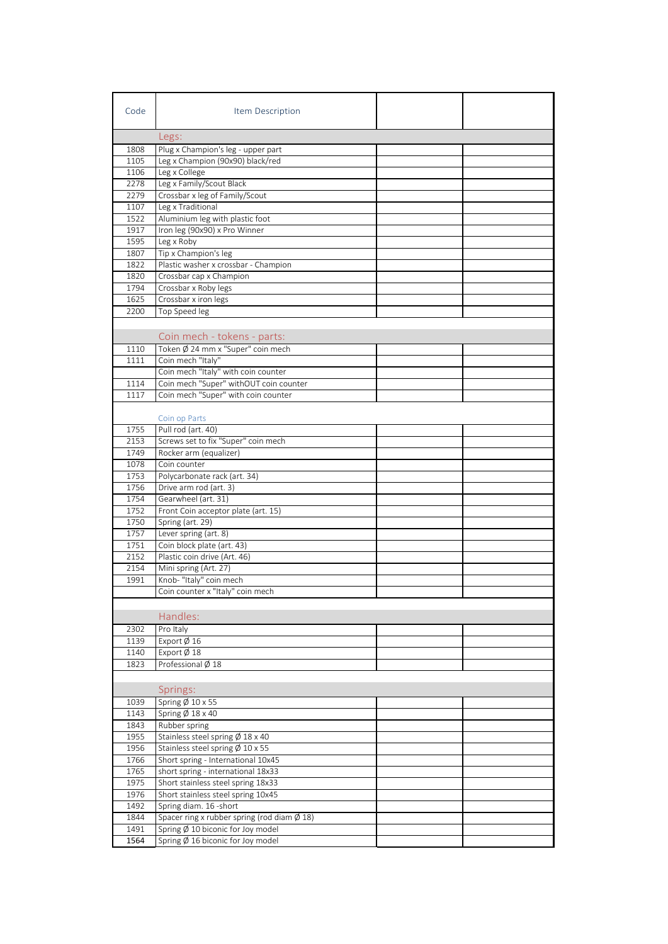| Code | Item Description                                      |  |
|------|-------------------------------------------------------|--|
|      | Legs:                                                 |  |
| 1808 | Plug x Champion's leg - upper part                    |  |
| 1105 | Leg x Champion (90x90) black/red                      |  |
| 1106 | Leg x College                                         |  |
| 2278 | Leg x Family/Scout Black                              |  |
| 2279 | Crossbar x leg of Family/Scout                        |  |
| 1107 | Leg x Traditional                                     |  |
| 1522 | Aluminium leg with plastic foot                       |  |
| 1917 | Iron leg (90x90) x Pro Winner                         |  |
| 1595 | Leg x Roby                                            |  |
| 1807 | Tip x Champion's leg                                  |  |
| 1822 | Plastic washer x crossbar - Champion                  |  |
| 1820 | Crossbar cap x Champion                               |  |
| 1794 | Crossbar x Roby legs                                  |  |
| 1625 | Crossbar x iron legs                                  |  |
| 2200 | Top Speed leg                                         |  |
|      |                                                       |  |
|      | Coin mech - tokens - parts:                           |  |
| 1110 | Token Ø 24 mm x "Super" coin mech                     |  |
| 1111 | Coin mech "Italy"                                     |  |
|      | Coin mech "Italy" with coin counter                   |  |
| 1114 | Coin mech "Super" withOUT coin counter                |  |
| 1117 | Coin mech "Super" with coin counter                   |  |
|      |                                                       |  |
|      | Coin op Parts                                         |  |
| 1755 | Pull rod (art. 40)                                    |  |
| 2153 | Screws set to fix "Super" coin mech                   |  |
| 1749 | Rocker arm (equalizer)                                |  |
| 1078 | Coin counter                                          |  |
| 1753 | Polycarbonate rack (art. 34)                          |  |
| 1756 | Drive arm rod (art. 3)                                |  |
| 1754 | Gearwheel (art. 31)                                   |  |
| 1752 | Front Coin acceptor plate (art. 15)                   |  |
| 1750 | Spring (art. 29)                                      |  |
| 1757 | Lever spring (art. 8)                                 |  |
| 1751 | Coin block plate (art. 43)                            |  |
| 2152 | Plastic coin drive (Art. 46)                          |  |
| 2154 | Mini spring (Art. 27)                                 |  |
| 1991 | Knob- "Italy" coin mech                               |  |
|      | Coin counter x "Italy" coin mech                      |  |
|      |                                                       |  |
|      | Handles:                                              |  |
| 2302 | Pro Italy                                             |  |
| 1139 | Export $\emptyset$ 16                                 |  |
| 1140 | Export $\emptyset$ 18                                 |  |
| 1823 | Professional Ø 18                                     |  |
|      |                                                       |  |
|      | Springs:                                              |  |
| 1039 | Spring Ø 10 x 55                                      |  |
| 1143 | Spring $\varnothing$ 18 x 40                          |  |
| 1843 | Rubber spring                                         |  |
| 1955 | Stainless steel spring Ø 18 x 40                      |  |
| 1956 | Stainless steel spring $\emptyset$ 10 x 55            |  |
| 1766 | Short spring - International 10x45                    |  |
| 1765 | short spring - international 18x33                    |  |
| 1975 | Short stainless steel spring 18x33                    |  |
| 1976 | Short stainless steel spring 10x45                    |  |
| 1492 | Spring diam. 16 - short                               |  |
| 1844 | Spacer ring x rubber spring (rod diam $\emptyset$ 18) |  |
| 1491 | Spring $\emptyset$ 10 biconic for Joy model           |  |
| 1564 | Spring $\emptyset$ 16 biconic for Joy model           |  |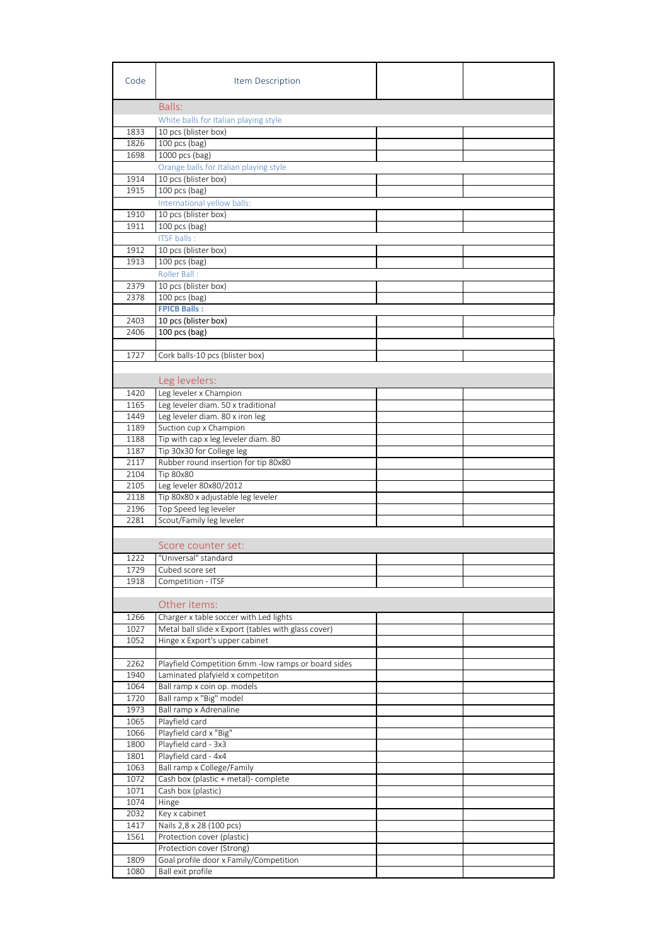| Code         | Item Description                                                   |  |
|--------------|--------------------------------------------------------------------|--|
|              | Balls:                                                             |  |
|              | White balls for Italian playing style                              |  |
| 1833         | 10 pcs (blister box)                                               |  |
| 1826         | 100 pcs (bag)                                                      |  |
| 1698         | 1000 pcs (bag)                                                     |  |
|              | Orange balls for Italian playing style                             |  |
| 1914         | 10 pcs (blister box)                                               |  |
| 1915         | 100 pcs (bag)                                                      |  |
|              | International yellow balls:                                        |  |
| 1910<br>1911 | 10 pcs (blister box)<br>100 pcs (bag)                              |  |
|              | <b>ITSF</b> balls:                                                 |  |
| 1912         | 10 pcs (blister box)                                               |  |
| 1913         | 100 pcs (bag)                                                      |  |
|              | Roller Ball:                                                       |  |
| 2379         | 10 pcs (blister box)                                               |  |
| 2378         | 100 pcs (bag)                                                      |  |
|              | <b>FPICB Balls:</b>                                                |  |
| 2403         | 10 pcs (blister box)                                               |  |
| 2406         | 100 pcs (bag)                                                      |  |
| 1727         | Cork balls-10 pcs (blister box)                                    |  |
|              |                                                                    |  |
|              | Leg levelers:                                                      |  |
| 1420         | Leg leveler x Champion                                             |  |
| 1165         | Leg leveler diam. 50 x traditional                                 |  |
| 1449         | Leg leveler diam. 80 x iron leg                                    |  |
| 1189         | Suction cup x Champion                                             |  |
| 1188         | Tip with cap x leg leveler diam. 80                                |  |
| 1187         | Tip 30x30 for College leg                                          |  |
| 2117         | Rubber round insertion for tip 80x80                               |  |
| 2104         | Tip 80x80                                                          |  |
| 2105         | Leg leveler 80x80/2012                                             |  |
| 2118<br>2196 | Tip 80x80 x adjustable leg leveler<br>Top Speed leg leveler        |  |
| 2281         | Scout/Family leg leveler                                           |  |
|              |                                                                    |  |
|              | Score counter set:                                                 |  |
| 1222         | "Universal" standard                                               |  |
| 1729         | Cubed score set                                                    |  |
| 1918         | Competition - ITSF                                                 |  |
|              |                                                                    |  |
|              | Other items:                                                       |  |
| 1266         | Charger x table soccer with Led lights                             |  |
| 1027         | Metal ball slide x Export (tables with glass cover)                |  |
| 1052         | Hinge x Export's upper cabinet                                     |  |
| 2262         | Playfield Competition 6mm -low ramps or board sides                |  |
| 1940         | Laminated plafyield x competiton                                   |  |
| 1064         | Ball ramp x coin op. models                                        |  |
| 1720         | Ball ramp x "Big" model                                            |  |
| 1973         | Ball ramp x Adrenaline                                             |  |
| 1065         | Playfield card                                                     |  |
| 1066         | Playfield card x "Big"                                             |  |
| 1800         | Playfield card - 3x3                                               |  |
| 1801<br>1063 | Playfield card - 4x4                                               |  |
| 1072         | Ball ramp x College/Family<br>Cash box (plastic + metal)- complete |  |
| 1071         | Cash box (plastic)                                                 |  |
| 1074         | Hinge                                                              |  |
| 2032         | Key x cabinet                                                      |  |
| 1417         | Nails 2,8 x 28 (100 pcs)                                           |  |
| 1561         | Protection cover (plastic)                                         |  |
|              | Protection cover (Strong)                                          |  |
| 1809         | Goal profile door x Family/Competition                             |  |
| 1080         | Ball exit profile                                                  |  |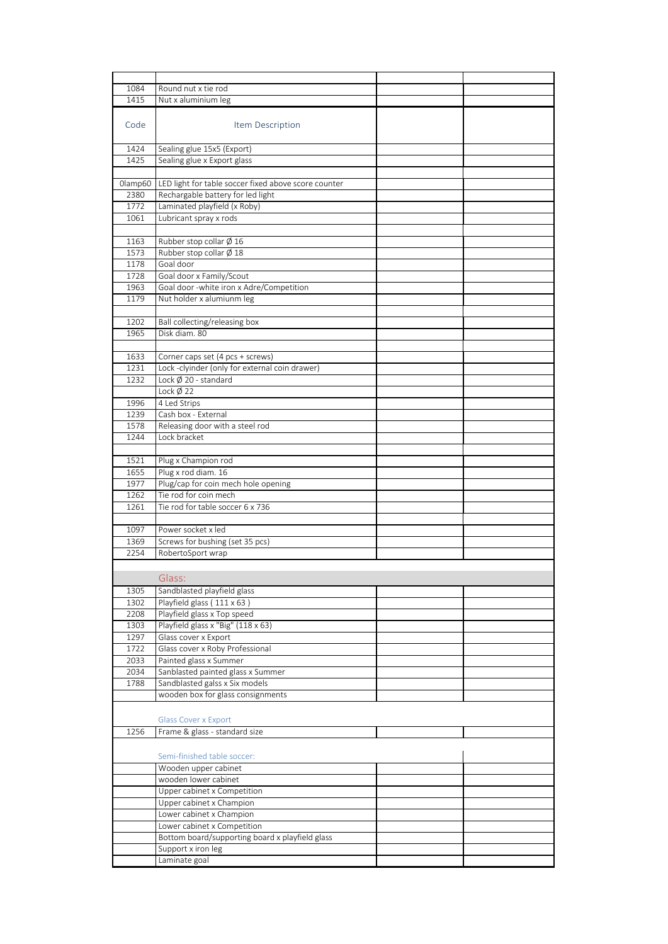| 1084    | Round nut x tie rod                                  |  |
|---------|------------------------------------------------------|--|
| 1415    | Nut x aluminium leg                                  |  |
|         |                                                      |  |
| Code    | Item Description                                     |  |
|         |                                                      |  |
|         |                                                      |  |
| 1424    | Sealing glue 15x5 (Export)                           |  |
| 1425    | Sealing glue x Export glass                          |  |
|         |                                                      |  |
| Olamp60 | LED light for table soccer fixed above score counter |  |
| 2380    | Rechargable battery for led light                    |  |
| 1772    | Laminated playfield (x Roby)                         |  |
| 1061    | Lubricant spray x rods                               |  |
|         |                                                      |  |
| 1163    | Rubber stop collar $\emptyset$ 16                    |  |
| 1573    | Rubber stop collar $\emptyset$ 18                    |  |
| 1178    | Goal door                                            |  |
| 1728    | Goal door x Family/Scout                             |  |
| 1963    | Goal door -white iron x Adre/Competition             |  |
| 1179    | Nut holder x alumiunm leg                            |  |
|         |                                                      |  |
|         | Ball collecting/releasing box                        |  |
| 1202    |                                                      |  |
| 1965    | Disk diam. 80                                        |  |
|         |                                                      |  |
| 1633    | Corner caps set (4 pcs + screws)                     |  |
| 1231    | Lock-clyinder (only for external coin drawer)        |  |
| 1232    | Lock Ø 20 - standard                                 |  |
|         | Lock $\emptyset$ 22                                  |  |
| 1996    | 4 Led Strips                                         |  |
| 1239    | Cash box - External                                  |  |
| 1578    | Releasing door with a steel rod                      |  |
| 1244    | Lock bracket                                         |  |
|         |                                                      |  |
| 1521    | Plug x Champion rod                                  |  |
| 1655    | Plug x rod diam. 16                                  |  |
| 1977    | Plug/cap for coin mech hole opening                  |  |
| 1262    | Tie rod for coin mech                                |  |
| 1261    | Tie rod for table soccer 6 x 736                     |  |
|         |                                                      |  |
|         |                                                      |  |
| 1097    | Power socket x led                                   |  |
| 1369    | Screws for bushing (set 35 pcs)                      |  |
| 2254    | RobertoSport wrap                                    |  |
|         |                                                      |  |
|         | Glass:                                               |  |
| 1305    | Sandblasted playfield glass                          |  |
| 1302    | Playfield glass (111 x 63)                           |  |
| 2208    | Playfield glass x Top speed                          |  |
| 1303    | Playfield glass x "Big" (118 x 63)                   |  |
| 1297    | Glass cover x Export                                 |  |
| 1722    | Glass cover x Roby Professional                      |  |
|         |                                                      |  |
| 2033    | Painted glass x Summer                               |  |
| 2034    | Sanblasted painted glass x Summer                    |  |
| 1788    | Sandblasted galss x Six models                       |  |
|         | wooden box for glass consignments                    |  |
|         |                                                      |  |
|         | <b>Glass Cover x Export</b>                          |  |
| 1256    | Frame & glass - standard size                        |  |
|         |                                                      |  |
|         | Semi-finished table soccer:                          |  |
|         |                                                      |  |
|         | Wooden upper cabinet                                 |  |
|         | wooden lower cabinet                                 |  |
|         | Upper cabinet x Competition                          |  |
|         | Upper cabinet x Champion                             |  |
|         | Lower cabinet x Champion                             |  |
|         | Lower cabinet x Competition                          |  |
|         | Bottom board/supporting board x playfield glass      |  |
|         | Support x iron leg                                   |  |
|         | Laminate goal                                        |  |